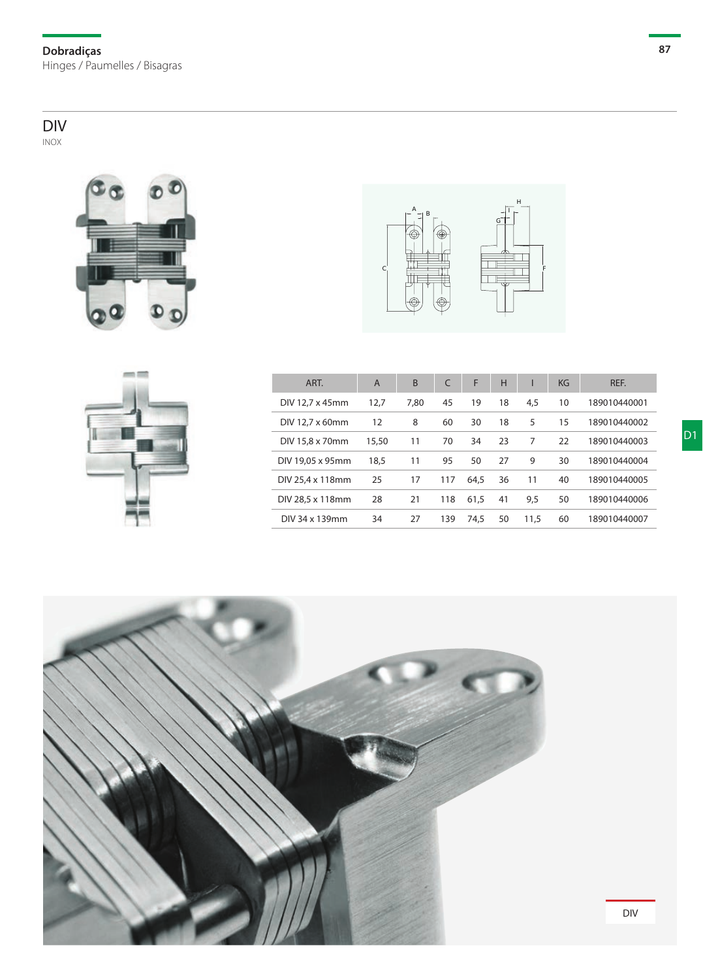**Dobradiças** Hinges / Paumelles / Bisagras

## DIV

inox







| ART.             | $\overline{A}$ | <sub>B</sub> | $\mathsf{C}$ | F    | H  |      | KG | REF.         |
|------------------|----------------|--------------|--------------|------|----|------|----|--------------|
| DIV 12.7 x 45mm  | 12.7           | 7.80         | 45           | 19   | 18 | 4.5  | 10 | 189010440001 |
| DIV 12.7 x 60mm  | 12             | 8            | 60           | 30   | 18 | 5    | 15 | 189010440002 |
| DIV 15,8 x 70mm  | 15.50          | 11           | 70           | 34   | 23 | 7    | 22 | 189010440003 |
| DIV 19.05 x 95mm | 18,5           | 11           | 95           | 50   | 27 | 9    | 30 | 189010440004 |
| DIV 25.4 x 118mm | 25             | 17           | 117          | 64.5 | 36 | 11   | 40 | 189010440005 |
| DIV 28.5 x 118mm | 28             | 21           | 118          | 61.5 | 41 | 9.5  | 50 | 189010440006 |
| DIV 34 x 139mm   | 34             | 27           | 139          | 74.5 | 50 | 11.5 | 60 | 189010440007 |